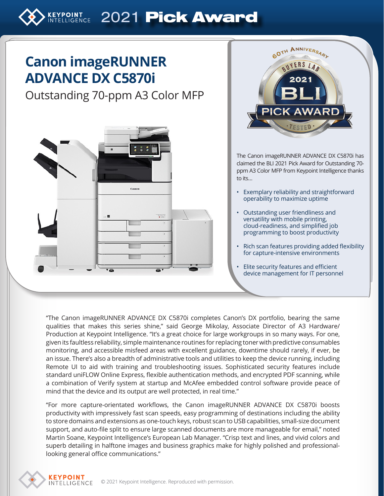# **ELLIGENCE 2021 Pick Award**

## **Canon imageRUNNER ADVANCE DX C5870i**

### Outstanding 70-ppm A3 Color MFP





The Canon imageRUNNER ADVANCE DX C5870i has claimed the BLI 2021 Pick Award for Outstanding 70 ppm A3 Color MFP from Keypoint Intelligence thanks to its…

- Exemplary reliability and straightforward operability to maximize uptime
- Outstanding user friendliness and versatility with mobile printing, cloud-readiness, and simplified job programming to boost productivity
- Rich scan features providing added flexibility for capture-intensive environments
- Elite security features and efficient device management for IT personnel

"The Canon imageRUNNER ADVANCE DX C5870i completes Canon's DX portfolio, bearing the same qualities that makes this series shine," said George Mikolay, Associate Director of A3 Hardware/ Production at Keypoint Intelligence. "It's a great choice for large workgroups in so many ways. For one, given its faultless reliability, simple maintenance routines for replacing toner with predictive consumables monitoring, and accessible misfeed areas with excellent guidance, downtime should rarely, if ever, be an issue. There's also a breadth of administrative tools and utilities to keep the device running, including Remote UI to aid with training and troubleshooting issues. Sophisticated security features include standard uniFLOW Online Express, flexible authentication methods, and encrypted PDF scanning, while a combination of Verify system at startup and McAfee embedded control software provide peace of mind that the device and its output are well protected, in real time."

"For more capture-orientated workflows, the Canon imageRUNNER ADVANCE DX C5870i boosts productivity with impressively fast scan speeds, easy programming of destinations including the ability to store domains and extensions as one-touch keys, robust scan to USB capabilities, small-size document support, and auto-file split to ensure large scanned documents are more manageable for email," noted Martin Soane, Keypoint Intelligence's European Lab Manager. "Crisp text and lines, and vivid colors and superb detailing in halftone images and business graphics make for highly polished and professionallooking general office communications."

**KEYPOINT**